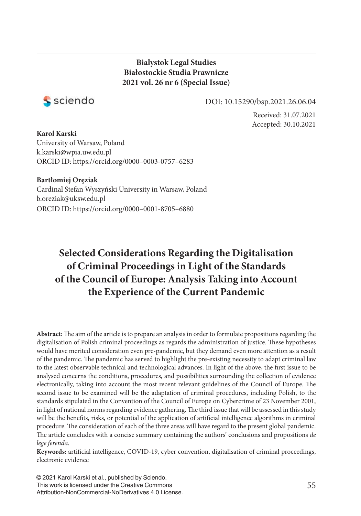## **Bialystok Legal Studies Białostockie Studia Prawnicze 2021 vol. 26 nr 6 (Special Issue)**



#### DOI: 10.15290/bsp.2021.26.06.04

Received: 31.07.2021 Accepted: 30.10.2021

**Karol Karski** University of Warsaw, Poland k.karski@wpia.uw.edu.pl ORCID ID: https://orcid.org/0000–0003-0757–6283

#### **Bartłomiej Oręziak**

Cardinal Stefan Wyszyński University in Warsaw, Poland b.oreziak@uksw.edu.pl ORCID ID: https://orcid.org/0000–0001-8705–6880

# **Selected Considerations Regarding the Digitalisation of Criminal Proceedings in Light of the Standards of the Council of Europe: Analysis Taking into Account the Experience of the Current Pandemic**

Abstract: The aim of the article is to prepare an analysis in order to formulate propositions regarding the digitalisation of Polish criminal proceedings as regards the administration of justice. These hypotheses would have merited consideration even pre-pandemic, but they demand even more attention as a result of the pandemic. The pandemic has served to highlight the pre-existing necessity to adapt criminal law to the latest observable technical and technological advances. In light of the above, the first issue to be analysed concerns the conditions, procedures, and possibilities surrounding the collection of evidence electronically, taking into account the most recent relevant guidelines of the Council of Europe. The second issue to be examined will be the adaptation of criminal procedures, including Polish, to the standards stipulated in the Convention of the Council of Europe on Cybercrime of 23 November 2001, in light of national norms regarding evidence gathering. The third issue that will be assessed in this study will be the benefits, risks, or potential of the application of artificial intelligence algorithms in criminal procedure. The consideration of each of the three areas will have regard to the present global pandemic. The article concludes with a concise summary containing the authors' conclusions and propositions *de lege ferenda*.

Keywords: artificial intelligence, COVID-19, cyber convention, digitalisation of criminal proceedings, electronic evidence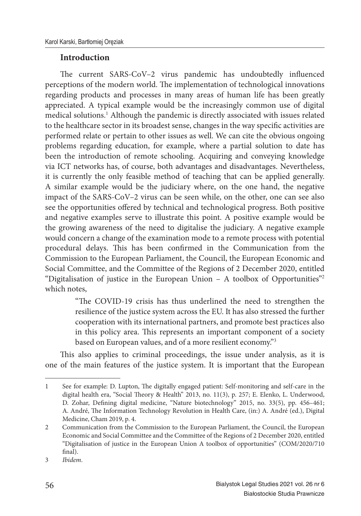### **Introduction**

The current SARS-CoV-2 virus pandemic has undoubtedly influenced perceptions of the modern world. The implementation of technological innovations regarding products and processes in many areas of human life has been greatly appreciated. A typical example would be the increasingly common use of digital medical solutions.<sup>1</sup> Although the pandemic is directly associated with issues related to the healthcare sector in its broadest sense, changes in the way specific activities are performed relate or pertain to other issues as well. We can cite the obvious ongoing problems regarding education, for example, where a partial solution to date has been the introduction of remote schooling. Acquiring and conveying knowledge via ICT networks has, of course, both advantages and disadvantages. Nevertheless, it is currently the only feasible method of teaching that can be applied generally. A similar example would be the judiciary where, on the one hand, the negative impact of the SARS-CoV–2 virus can be seen while, on the other, one can see also see the opportunities offered by technical and technological progress. Both positive and negative examples serve to illustrate this point. A positive example would be the growing awareness of the need to digitalise the judiciary. A negative example would concern a change of the examination mode to a remote process with potential procedural delays. This has been confirmed in the Communication from the Commission to the European Parliament, the Council, the European Economic and Social Committee, and the Committee of the Regions of 2 December 2020, entitled "Digitalisation of justice in the European Union – A toolbox of Opportunities"<sup>2</sup> which notes,

> "The COVID-19 crisis has thus underlined the need to strengthen the resilience of the justice system across the EU. It has also stressed the further cooperation with its international partners, and promote best practices also in this policy area. This represents an important component of a society based on European values, and of a more resilient economy."<sup>3</sup>

This also applies to criminal proceedings, the issue under analysis, as it is one of the main features of the justice system. It is important that the European

<sup>1</sup> See for example: D. Lupton, The digitally engaged patient: Self-monitoring and self-care in the digital health era, "Social Theory & Health" 2013, no. 11(3), p. 257; E. Elenko, L. Underwood, D. Zohar, Defining digital medicine, "Nature biotechnology" 2015, no. 33(5), pp. 456-461; A. André, The Information Technology Revolution in Health Care, (in:) A. André (ed.), Digital Medicine, Cham 2019, p. 4.

<sup>2</sup> Communication from the Commission to the European Parliament, the Council, the European Economic and Social Committee and the Committee of the Regions of 2 December 2020, entitled "Digitalisation of justice in the European Union A toolbox of opportunities" (COM/2020/710 final).

<sup>3</sup> *Ibidem*.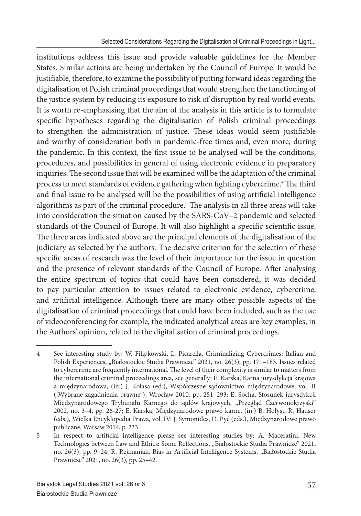institutions address this issue and provide valuable guidelines for the Member States. Similar actions are being undertaken by the Council of Europe. It would be justifiable, therefore, to examine the possibility of putting forward ideas regarding the digitalisation of Polish criminal proceedings that would strengthen the functioning of the justice system by reducing its exposure to risk of disruption by real world events. It is worth re-emphasising that the aim of the analysis in this article is to formulate specific hypotheses regarding the digitalisation of Polish criminal proceedings to strengthen the administration of justice. These ideas would seem justifiable and worthy of consideration both in pandemic-free times and, even more, during the pandemic. In this context, the first issue to be analysed will be the conditions, procedures, and possibilities in general of using electronic evidence in preparatory inquiries. The second issue that will be examined will be the adaptation of the criminal process to meet standards of evidence gathering when fighting cybercrime.<sup>4</sup> The third and final issue to be analysed will be the possibilities of using artificial intelligence algorithms as part of the criminal procedure.<sup>5</sup> The analysis in all three areas will take into consideration the situation caused by the SARS-CoV–2 pandemic and selected standards of the Council of Europe. It will also highlight a specific scientific issue. The three areas indicated above are the principal elements of the digitalisation of the judiciary as selected by the authors. The decisive criterion for the selection of these specific areas of research was the level of their importance for the issue in question and the presence of relevant standards of the Council of Europe. After analysing the entire spectrum of topics that could have been considered, it was decided to pay particular attention to issues related to electronic evidence, cybercrime, and artificial intelligence. Although there are many other possible aspects of the digitalisation of criminal proceedings that could have been included, such as the use of videoconferencing for example, the indicated analytical areas are key examples, in the Authors' opinion, related to the digitalisation of criminal proceedings.

<sup>4</sup> See interesting study by: W. Filipkowski, L. Picarella, Criminalizing Cybercrimes: Italian and Polish Experiences, "Białostockie Studia Prawnicze" 2021, no. 26(3), pp. 171-183. Issues related to cybercrime are frequently international. The level of their complexity is similar to matters from the international criminal proceedings area, see generally: E. Karska, Karna jurysdykcja krajowa a międzynarodowa, (in:) J. Kolasa (ed.), Współczesne sądownictwo międzynarodowe, vol. II ("Wybrane zagadnienia prawne"), Wrocław 2010, pp. 251-293; E. Socha, Stosunek jurysdykcji Międzynarodowego Trybunału Karnego do sądów krajowych, "Przegląd Czerwonokrzyski" 2002, no. 3–4, pp. 26-27; E. Karska, Międzynarodowe prawo karne, (in:) B. Hołyst, R. Hauser (eds.), Wielka Encyklopedia Prawa, vol. IV: J. Symonides, D. Pyć (eds.), Międzynarodowe prawo publiczne, Warsaw 2014, p. 233.

<sup>5</sup> In respect to artificial intelligence please see interesting studies by: A. Maceratini, New Technologies between Law and Ethics: Some Reflections, "Białostockie Studia Prawnicze" 2021, no. 26(3), pp. 9-24; R. Rejmaniak, Bias in Artificial Intelligence Systems, "Białostockie Studia Prawnicze" 2021, no. 26(3), pp. 25–42.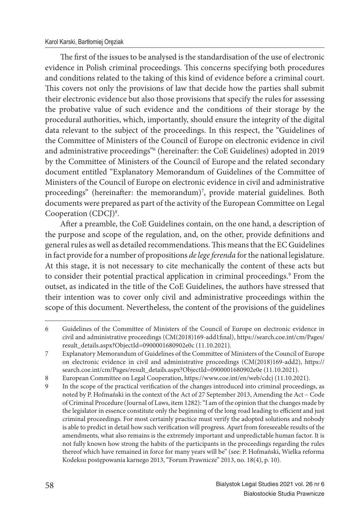The first of the issues to be analysed is the standardisation of the use of electronic evidence in Polish criminal proceedings. This concerns specifying both procedures and conditions related to the taking of this kind of evidence before a criminal court. This covers not only the provisions of law that decide how the parties shall submit their electronic evidence but also those provisions that specify the rules for assessing the probative value of such evidence and the conditions of their storage by the procedural authorities, which, importantly, should ensure the integrity of the digital data relevant to the subject of the proceedings. In this respect, the "Guidelines of the Committee of Ministers of the Council of Europe on electronic evidence in civil and administrative proceedings"<sup>6</sup> (hereinafter: the CoE Guidelines) adopted in 2019 by the Committee of Ministers of the Council of Europe and the related secondary document entitled "Explanatory Memorandum of Guidelines of the Committee of Ministers of the Council of Europe on electronic evidence in civil and administrative proceedings" (hereinafter: the memorandum)<sup>7</sup>, provide material guidelines. Both documents were prepared as part of the activity of the European Committee on Legal Cooperation (CDCJ)<sup>8</sup>.

After a preamble, the CoE Guidelines contain, on the one hand, a description of the purpose and scope of the regulation, and, on the other, provide definitions and general rules as well as detailed recommendations. This means that the EC Guidelines in fact provide for a number of propositions *de lege ferenda* for the national legislature. At this stage, it is not necessary to cite mechanically the content of these acts but to consider their potential practical application in criminal proceedings.<sup>9</sup> From the outset, as indicated in the title of the CoE Guidelines, the authors have stressed that their intention was to cover only civil and administrative proceedings within the scope of this document. Nevertheless, the content of the provisions of the guidelines

<sup>6</sup> Guidelines of the Committee of Ministers of the Council of Europe on electronic evidence in civil and administrative proceedings (CM(2018)169-add1final), https://search.coe.int/cm/Pages/ result\_details.aspx?ObjectId=0900001680902e0c (11.10.2021).

<sup>7</sup> Explanatory Memorandum of Guidelines of the Committee of Ministers of the Council of Europe on electronic evidence in civil and administrative proceedings (CM(2018)169-add2), https:// search.coe.int/cm/Pages/result\_details.aspx?ObjectId=0900001680902e0e (11.10.2021).

<sup>8</sup> European Committee on Legal Cooperation, https://www.coe.int/en/web/cdcj (11.10.2021).

<sup>9</sup> In the scope of the practical verification of the changes introduced into criminal proceedings, as noted by P. Hofmański in the context of the Act of 27 September 2013, Amending the Act – Code of Criminal Procedure (Journal of Laws, item 1282): "I am of the opinion that the changes made by the legislator in essence constitute only the beginning of the long road leading to efficient and just criminal proceedings. For most certainly practice must verify the adopted solutions and nobody is able to predict in detail how such verification will progress. Apart from foreseeable results of the amendments, what also remains is the extremely important and unpredictable human factor. It is not fully known how strong the habits of the participants in the proceedings regarding the rules thereof which have remained in force for many years will be" (see: P. Hofmański, Wielka reforma Kodeksu postępowania karnego 2013, "Forum Prawnicze" 2013, no. 18(4), p. 10).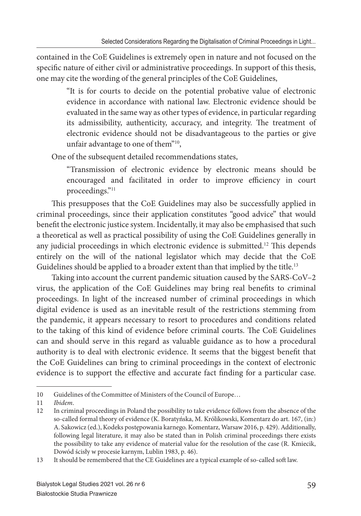contained in the CoE Guidelines is extremely open in nature and not focused on the specific nature of either civil or administrative proceedings. In support of this thesis, one may cite the wording of the general principles of the CoE Guidelines,

> "It is for courts to decide on the potential probative value of electronic evidence in accordance with national law. Electronic evidence should be evaluated in the same way as other types of evidence, in particular regarding its admissibility, authenticity, accuracy, and integrity. The treatment of electronic evidence should not be disadvantageous to the parties or give unfair advantage to one of them"<sup>10</sup>,

One of the subsequent detailed recommendations states,

"Transmission of electronic evidence by electronic means should be encouraged and facilitated in order to improve efficiency in court proceedings."<sup>11</sup>

This presupposes that the CoE Guidelines may also be successfully applied in criminal proceedings, since their application constitutes "good advice" that would benefit the electronic justice system. Incidentally, it may also be emphasised that such a theoretical as well as practical possibility of using the CoE Guidelines generally in any judicial proceedings in which electronic evidence is submitted.<sup>12</sup> This depends entirely on the will of the national legislator which may decide that the CoE Guidelines should be applied to a broader extent than that implied by the title.<sup>13</sup>

Taking into account the current pandemic situation caused by the SARS-CoV–2 virus, the application of the CoE Guidelines may bring real benefits to criminal proceedings. In light of the increased number of criminal proceedings in which digital evidence is used as an inevitable result of the restrictions stemming from the pandemic, it appears necessary to resort to procedures and conditions related to the taking of this kind of evidence before criminal courts. The CoE Guidelines can and should serve in this regard as valuable guidance as to how a procedural authority is to deal with electronic evidence. It seems that the biggest benefit that the CoE Guidelines can bring to criminal proceedings in the context of electronic evidence is to support the effective and accurate fact finding for a particular case.

<sup>10</sup> Guidelines of the Committee of Ministers of the Council of Europe…

<sup>11</sup> *Ibidem*.

<sup>12</sup> In criminal proceedings in Poland the possibility to take evidence follows from the absence of the so-called formal theory of evidence (K. Boratyńska, M. Królikowski, Komentarz do art. 167, (in:) A. Sakowicz (ed.), Kodeks postępowania karnego. Komentarz, Warsaw 2016, p. 429). Additionally, following legal literature, it may also be stated than in Polish criminal proceedings there exists the possibility to take any evidence of material value for the resolution of the case (R. Kmiecik, Dowód ścisły w procesie karnym, Lublin 1983, p. 46).

<sup>13</sup> It should be remembered that the CE Guidelines are a typical example of so-called soft law.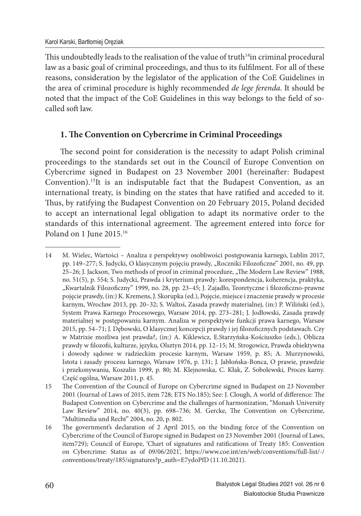This undoubtedly leads to the realisation of the value of truth $14$ in criminal procedural law as a basic goal of criminal proceedings, and thus to its fulfilment. For all of these reasons, consideration by the legislator of the application of the CoE Guidelines in the area of criminal procedure is highly recommended *de lege ferenda*. It should be noted that the impact of the CoE Guidelines in this way belongs to the field of socalled soft law.

# **1. The Convention on Cybercrime in Criminal Proceedings**

The second point for consideration is the necessity to adapt Polish criminal proceedings to the standards set out in the Council of Europe Convention on Cybercrime signed in Budapest on 23 November 2001 (hereinafter: Budapest Convention).<sup>15</sup>It is an indisputable fact that the Budapest Convention, as an international treaty, is binding on the states that have ratified and acceded to it. Thus, by ratifying the Budapest Convention on 20 February 2015, Poland decided to accept an international legal obligation to adapt its normative order to the standards of this international agreement. The agreement entered into force for Poland on 1 June 2015.<sup>16</sup>

<sup>14</sup> M. Wielec, Wartości – Analiza z perspektywy osobliwości postępowania karnego, Lublin 2017, pp. 149–277; S. Judycki, O klasycznym pojęciu prawdy, "Roczniki Filozoficzne" 2001, no. 49, pp. 25–26; J. Jackson, Two methods of proof in criminal procedure, "The Modern Law Review" 1988, no. 51(5), p. 554; S. Judycki, Prawda i kryterium prawdy: korespondencja, koherencja, praktyka, "Kwartalnik Filozoficzny" 1999, no. 28, pp. 23-45; J. Zajadło, Teoretyczne i filozoficzno-prawne pojęcie prawdy, (in:) K. Kremens, J. Skorupka (ed.), Pojęcie, miejsce i znaczenie prawdy w procesie karnym, Wrocław 2013, pp. 20–32; S. Waltoś, Zasada prawdy materialnej, (in:) P. Wiliński (ed.), System Prawa Karnego Procesowego, Warsaw 2014, pp. 273–281; J. Jodłowski, Zasada prawdy materialnej w postępowaniu karnym. Analiza w perspektywie funkcji prawa karnego, Warsaw 2015, pp. 54–71; J. Dębowski, O klasycznej koncepcji prawdy i jej filozoficznych podstawach. Czy w Matrixie możliwa jest prawda?, (in:) A. Kiklewicz, E.Starzyńska-Kościuszko (eds.), Oblicza prawdy w filozofii, kulturze, języku, Olsztyn 2014, pp. 12–15; M. Strogowicz, Prawda obiektywna i dowody sądowe w radzieckim procesie karnym, Warsaw 1959, p. 85; A. Murzynowski, Istota i zasady procesu karnego, Warsaw 1976, p. 131; J. Jabłońska-Bonca, O prawie, prawdzie i przekonywaniu, Koszalin 1999, p. 80; M. Klejnowska, C. Kłak, Z. Sobolewski, Proces karny. Część ogólna, Warsaw 2011, p. 45.

<sup>15</sup> The Convention of the Council of Europe on Cybercrime signed in Budapest on 23 November 2001 (Journal of Laws of 2015, item 728; ETS No.185); See: J. Clough, A world of difference: The Budapest Convention on Cybercrime and the challenges of harmonization, "Monash University Law Review" 2014, no. 40(3), pp. 698-736; M. Gercke, The Convention on Cybercrime, "Multimedia und Recht" 2004, no. 20, p. 802.

<sup>16</sup> The government's declaration of 2 April 2015, on the binding force of the Convention on Cybercrime of the Council of Europe signed in Budapest on 23 November 2001 (Journal of Laws, item729); Council of Europe, 'Chart of signatures and ratifications of Treaty 185: Convention on Cybercrime: Status as of 09/06/2021', https://www.coe.int/en/web/conventions/full-list/-/ conventions/treaty/185/signatures?p\_auth=E7ydoPfD (11.10.2021).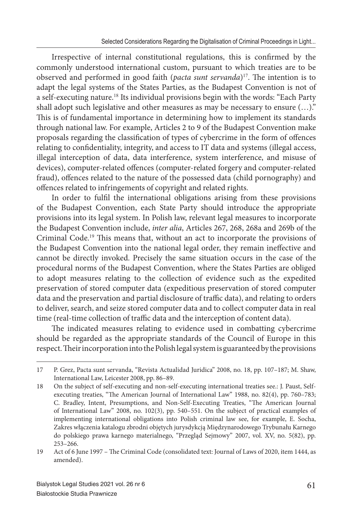Irrespective of internal constitutional regulations, this is confirmed by the commonly understood international custom, pursuant to which treaties are to be observed and performed in good faith (*pacta sunt servanda*)<sup>17</sup>. The intention is to adapt the legal systems of the States Parties, as the Budapest Convention is not of a self-executing nature.<sup>18</sup> Its individual provisions begin with the words: "Each Party shall adopt such legislative and other measures as may be necessary to ensure (…)." This is of fundamental importance in determining how to implement its standards through national law. For example, Articles 2 to 9 of the Budapest Convention make proposals regarding the classification of types of cybercrime in the form of offences relating to confidentiality, integrity, and access to IT data and systems (illegal access, illegal interception of data, data interference, system interference, and misuse of devices), computer-related offences (computer-related forgery and computer-related fraud), offences related to the nature of the possessed data (child pornography) and offences related to infringements of copyright and related rights.

In order to fulfil the international obligations arising from these provisions of the Budapest Convention, each State Party should introduce the appropriate provisions into its legal system. In Polish law, relevant legal measures to incorporate the Budapest Convention include, *inter alia*, Articles 267, 268, 268a and 269b of the Criminal Code.<sup>19</sup> This means that, without an act to incorporate the provisions of the Budapest Convention into the national legal order, they remain ineffective and cannot be directly invoked. Precisely the same situation occurs in the case of the procedural norms of the Budapest Convention, where the States Parties are obliged to adopt measures relating to the collection of evidence such as the expedited preservation of stored computer data (expeditious preservation of stored computer data and the preservation and partial disclosure of traffic data), and relating to orders to deliver, search, and seize stored computer data and to collect computer data in real time (real-time collection of traffic data and the interception of content data).

The indicated measures relating to evidence used in combatting cybercrime should be regarded as the appropriate standards of the Council of Europe in this respect. Their incorporation into the Polish legal system is guaranteed by the provisions

<sup>17</sup> P. Grez, Pacta sunt servanda, "Revista Actualidad Juridica" 2008, no. 18, pp. 107–187; M. Shaw, International Law, Leicester 2008, pp. 86–89.

<sup>18</sup> On the subject of self-executing and non-self-executing international treaties see.: J. Paust, Selfexecuting treaties, "The American Journal of International Law" 1988, no. 82(4), pp. 760–783; C. Bradley, Intent, Presumptions, and Non-Self-Executing Treaties, "The American Journal of International Law" 2008, no. 102(3), pp. 540–551. On the subject of practical examples of implementing international obligations into Polish criminal law see, for example, E. Socha, Zakres włączenia katalogu zbrodni objętych jurysdykcją Międzynarodowego Trybunału Karnego do polskiego prawa karnego materialnego, "Przegląd Sejmowy" 2007, vol. XV, no. 5(82), pp. 253–266.

<sup>19</sup> Act of 6 June 1997 – The Criminal Code (consolidated text: Journal of Laws of 2020, item 1444, as amended).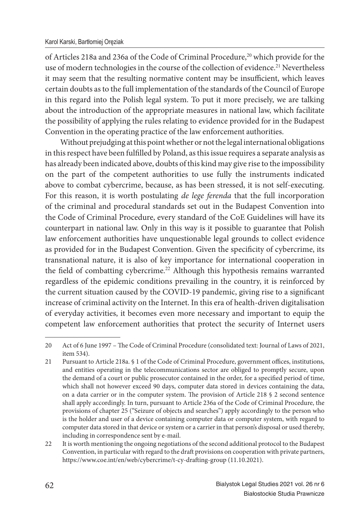of Articles 218a and 236a of the Code of Criminal Procedure,<sup>20</sup> which provide for the use of modern technologies in the course of the collection of evidence.<sup>21</sup> Nevertheless it may seem that the resulting normative content may be insufficient, which leaves certain doubts as to the full implementation of the standards of the Council of Europe in this regard into the Polish legal system. To put it more precisely, we are talking about the introduction of the appropriate measures in national law, which facilitate the possibility of applying the rules relating to evidence provided for in the Budapest Convention in the operating practice of the law enforcement authorities.

Without prejudging at this point whether or not the legal international obligations in this respect have been fulfilled by Poland, as this issue requires a separate analysis as has already been indicated above, doubts of this kind may give rise to the impossibility on the part of the competent authorities to use fully the instruments indicated above to combat cybercrime, because, as has been stressed, it is not self-executing. For this reason, it is worth postulating *de lege ferenda* that the full incorporation of the criminal and procedural standards set out in the Budapest Convention into the Code of Criminal Procedure, every standard of the CoE Guidelines will have its counterpart in national law. Only in this way is it possible to guarantee that Polish law enforcement authorities have unquestionable legal grounds to collect evidence as provided for in the Budapest Convention. Given the specificity of cybercrime, its transnational nature, it is also of key importance for international cooperation in the field of combatting cybercrime.<sup>22</sup> Although this hypothesis remains warranted regardless of the epidemic conditions prevailing in the country, it is reinforced by the current situation caused by the COVID-19 pandemic, giving rise to a significant increase of criminal activity on the Internet. In this era of health-driven digitalisation of everyday activities, it becomes even more necessary and important to equip the competent law enforcement authorities that protect the security of Internet users

<sup>20</sup> Act of 6 June 1997 – The Code of Criminal Procedure (consolidated text: Journal of Laws of 2021, item 534).

<sup>21</sup> Pursuant to Article 218a. § 1 of the Code of Criminal Procedure, government offices, institutions, and entities operating in the telecommunications sector are obliged to promptly secure, upon the demand of a court or public prosecutor contained in the order, for a specified period of time, which shall not however exceed 90 days, computer data stored in devices containing the data, on a data carrier or in the computer system. The provision of Article 218  $\S$  2 second sentence shall apply accordingly. In turn, pursuant to Article 236a of the Code of Criminal Procedure, the provisions of chapter 25 ("Seizure of objects and searches") apply accordingly to the person who is the holder and user of a device containing computer data or computer system, with regard to computer data stored in that device or system or a carrier in that person's disposal or used thereby, including in correspondence sent by e-mail.

<sup>22</sup> It is worth mentioning the ongoing negotiations of the second additional protocol to the Budapest Convention, in particular with regard to the draft provisions on cooperation with private partners, https://www.coe.int/en/web/cybercrime/t-cy-drafting-group (11.10.2021).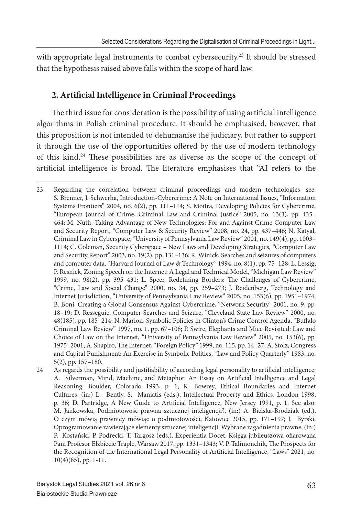with appropriate legal instruments to combat cybersecurity.<sup>23</sup> It should be stressed that the hypothesis raised above falls within the scope of hard law.

# 2. Artificial Intelligence in Criminal Proceedings

The third issue for consideration is the possibility of using artificial intelligence algorithms in Polish criminal procedure. It should be emphasised, however, that this proposition is not intended to dehumanise the judiciary, but rather to support it through the use of the opportunities offered by the use of modern technology of this kind.<sup>24</sup> These possibilities are as diverse as the scope of the concept of artificial intelligence is broad. The literature emphasises that "AI refers to the

<sup>23</sup> Regarding the correlation between criminal proceedings and modern technologies, see: S. Brenner, J. Schwerha, Introduction-Cybercrime: A Note on International Issues, "Information Systems Frontiers" 2004, no. 6(2), pp. 111–114; S. Moitra, Developing Policies for Cybercrime, "European Journal of Crime, Criminal Law and Criminal Justice" 2005, no. 13(3), pp. 435– 464; M. Nuth, Taking Advantage of New Technologies: For and Against Crime Computer Law and Security Report, "Computer Law & Security Review" 2008, no. 24, pp. 437–446; N. Katyal, Criminal Law in Cyberspace, "University of Pennsylvania Law Review" 2001, no. 149(4), pp. 1003– 1114; C. Coleman, Security Cyberspace – New Laws and Developing Strategies, "Computer Law and Security Report" 2003, no. 19(2), pp. 131–136; R. Winick, Searches and seizures of computers and computer data, "Harvard Journal of Law & Technology" 1994, no. 8(1), pp. 75–128; L. Lessig, P. Resnick, Zoning Speech on the Internet: A Legal and Technical Model, "Michigan Law Review" 1999, no. 98(2), pp. 395-431; L. Speer, Redefining Borders: The Challenges of Cybercrime, "Crime, Law and Social Change" 2000, no. 34, pp. 259–273; J. Reidenberg, Technology and Internet Jurisdiction, "University of Pennsylvania Law Review" 2005, no. 153(6), pp. 1951–1974; B. Boni, Creating a Global Consensus Against Cybercrime, "Network Security" 2001, no. 9, pp. 18–19; D. Resseguie, Computer Searches and Seizure, "Cleveland State Law Review" 2000, no. 48(185), pp. 185-214; N. Marion, Symbolic Policies in Clinton's Crime Control Agenda, "Buffalo Criminal Law Review" 1997, no. 1, pp. 67–108; P. Swire, Elephants and Mice Revisited: Law and Choice of Law on the Internet, "University of Pennsylvania Law Review" 2005, no. 153(6), pp. 1975–2001; A. Shapiro, The Internet, "Foreign Policy" 1999, no. 115, pp. 14–27; A. Stolz, Congress and Capital Punishment: An Exercise in Symbolic Politics, "Law and Policy Quarterly" 1983, no. 5(2), pp. 157–180.

<sup>24</sup> As regards the possibility and justifiability of according legal personality to artificial intelligence: A. Silverman, Mind, Machine, and Metaphor. An Essay on Artificial Intelligence and Legal Reasoning. Boulder, Colorado 1993, p. 1; K. Bowrey, Ethical Boundaries and Internet Cultures, (in:) L. Bently, S. Maniatis (eds.), Intellectual Property and Ethics, London 1998, p. 36; D. Partridge, A New Guide to Artificial Intelligence, New Jersey 1991, p. 1. See also: M. Jankowska, Podmiotowość prawna sztucznej inteligencji?, (in:) A. Bielska-Brodziak (ed.), O czym mówią prawnicy mówiąc o podmiotowości, Katowice 2015, pp. 171–197; J. Byrski, Oprogramowanie zawierające elementy sztucznej inteligencji. Wybrane zagadnienia prawne, (in:) P. Kostański, P. Podrecki, T. Targosz (eds.), Experientia Docet. Księga jubileuszowa ofiarowana Pani Profesor Elżbiecie Traple, Warsaw 2017, pp. 1331-1343; V. P. Talimonchik, The Prospects for the Recognition of the International Legal Personality of Artificial Intelligence, "Laws" 2021, no. 10(4)(85), pp. 1-11.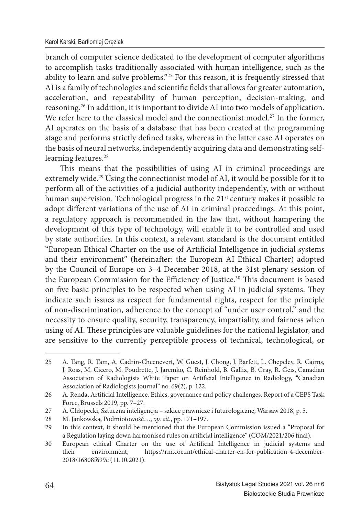branch of computer science dedicated to the development of computer algorithms to accomplish tasks traditionally associated with human intelligence, such as the ability to learn and solve problems."<sup>25</sup> For this reason, it is frequently stressed that AI is a family of technologies and scientific fields that allows for greater automation, acceleration, and repeatability of human perception, decision-making, and reasoning.<sup>26</sup> In addition, it is important to divide AI into two models of application. We refer here to the classical model and the connectionist model.<sup>27</sup> In the former, AI operates on the basis of a database that has been created at the programming stage and performs strictly defined tasks, whereas in the latter case AI operates on the basis of neural networks, independently acquiring data and demonstrating selflearning features.<sup>28</sup>

This means that the possibilities of using AI in criminal proceedings are extremely wide.<sup>29</sup> Using the connectionist model of AI, it would be possible for it to perform all of the activities of a judicial authority independently, with or without human supervision. Technological progress in the 21<sup>st</sup> century makes it possible to adopt different variations of the use of AI in criminal proceedings. At this point, a regulatory approach is recommended in the law that, without hampering the development of this type of technology, will enable it to be controlled and used by state authorities. In this context, a relevant standard is the document entitled "European Ethical Charter on the use of Artificial Intelligence in judicial systems and their environment" (hereinafter: the European AI Ethical Charter) adopted by the Council of Europe on 3–4 December 2018, at the 31st plenary session of the European Commission for the Efficiency of Justice.<sup>30</sup> This document is based on five basic principles to be respected when using AI in judicial systems. They indicate such issues as respect for fundamental rights, respect for the principle of non-discrimination, adherence to the concept of "under user control," and the necessity to ensure quality, security, transparency, impartiality, and fairness when using of AI. These principles are valuable guidelines for the national legislator, and are sensitive to the currently perceptible process of technical, technological, or

<sup>25</sup> A. Tang, R. Tam, A. Cadrin-Cheenevert, W. Guest, J. Chong, J. Barfett, L. Chepelev, R. Cairns, J. Ross, M. Cicero, M. Poudrette, J. Jaremko, C. Reinhold, B. Gallix, B. Gray, R. Geis, Canadian Association of Radiologists White Paper on Artificial Intelligence in Radiology, "Canadian Association of Radiologists Journal" no. 69(2), p. 122.

<sup>26</sup> A. Renda, Artificial Intelligence. Ethics, governance and policy challenges. Report of a CEPS Task Force, Brussels 2019, pp. 7–27.

<sup>27</sup> A. Chłopecki, Sztuczna inteligencja – szkice prawnicze i futurologiczne, Warsaw 2018, p. 5.

<sup>28</sup> M. Jankowska, Podmiotowość…, *op. cit.*, pp. 171–197.

<sup>29</sup> In this context, it should be mentioned that the European Commission issued a "Proposal for a Regulation laying down harmonised rules on artificial intelligence" (COM/2021/206 final).

<sup>30</sup> European ethical Charter on the use of Artificial Intelligence in judicial systems and their environment, https://rm.coe.int/ethical-charter-en-for-publication-4-december-2018/16808f699c (11.10.2021).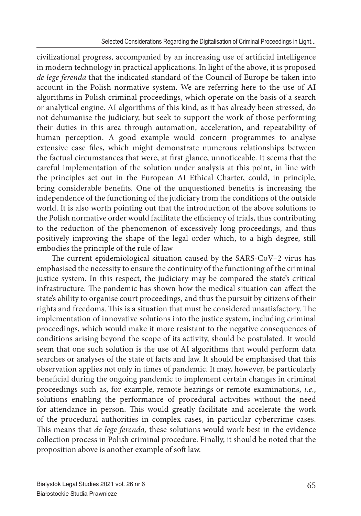civilizational progress, accompanied by an increasing use of artificial intelligence in modern technology in practical applications. In light of the above, it is proposed *de lege ferenda* that the indicated standard of the Council of Europe be taken into account in the Polish normative system. We are referring here to the use of AI algorithms in Polish criminal proceedings, which operate on the basis of a search or analytical engine. AI algorithms of this kind, as it has already been stressed, do not dehumanise the judiciary, but seek to support the work of those performing their duties in this area through automation, acceleration, and repeatability of human perception. A good example would concern programmes to analyse extensive case files, which might demonstrate numerous relationships between the factual circumstances that were, at first glance, unnoticeable. It seems that the careful implementation of the solution under analysis at this point, in line with the principles set out in the European AI Ethical Charter, could, in principle, bring considerable benefits. One of the unquestioned benefits is increasing the independence of the functioning of the judiciary from the conditions of the outside world. It is also worth pointing out that the introduction of the above solutions to the Polish normative order would facilitate the efficiency of trials, thus contributing to the reduction of the phenomenon of excessively long proceedings, and thus positively improving the shape of the legal order which, to a high degree, still embodies the principle of the rule of law

The current epidemiological situation caused by the SARS-CoV–2 virus has emphasised the necessity to ensure the continuity of the functioning of the criminal justice system. In this respect, the judiciary may be compared the state's critical infrastructure. The pandemic has shown how the medical situation can affect the state's ability to organise court proceedings, and thus the pursuit by citizens of their rights and freedoms. This is a situation that must be considered unsatisfactory. The implementation of innovative solutions into the justice system, including criminal proceedings, which would make it more resistant to the negative consequences of conditions arising beyond the scope of its activity, should be postulated. It would seem that one such solution is the use of AI algorithms that would perform data searches or analyses of the state of facts and law. It should be emphasised that this observation applies not only in times of pandemic. It may, however, be particularly beneficial during the ongoing pandemic to implement certain changes in criminal proceedings such as, for example, remote hearings or remote examinations, *i.e*., solutions enabling the performance of procedural activities without the need for attendance in person. This would greatly facilitate and accelerate the work of the procedural authorities in complex cases, in particular cybercrime cases. This means that *de lege ferenda*, these solutions would work best in the evidence collection process in Polish criminal procedure. Finally, it should be noted that the proposition above is another example of soft law.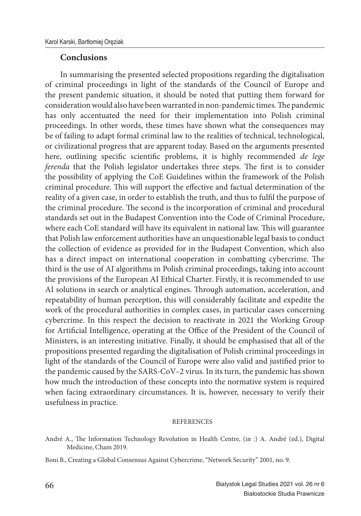#### **Conclusions**

In summarising the presented selected propositions regarding the digitalisation of criminal proceedings in light of the standards of the Council of Europe and the present pandemic situation, it should be noted that putting them forward for consideration would also have been warranted in non-pandemic times. The pandemic has only accentuated the need for their implementation into Polish criminal proceedings. In other words, these times have shown what the consequences may be of failing to adapt formal criminal law to the realities of technical, technological, or civilizational progress that are apparent today. Based on the arguments presented here, outlining specific scientific problems, it is highly recommended *de lege ferenda* that the Polish legislator undertakes three steps. The first is to consider the possibility of applying the CoE Guidelines within the framework of the Polish criminal procedure. This will support the effective and factual determination of the reality of a given case, in order to establish the truth, and thus to fulfil the purpose of the criminal procedure. The second is the incorporation of criminal and procedural standards set out in the Budapest Convention into the Code of Criminal Procedure, where each CoE standard will have its equivalent in national law. This will guarantee that Polish law enforcement authorities have an unquestionable legal basis to conduct the collection of evidence as provided for in the Budapest Convention, which also has a direct impact on international cooperation in combatting cybercrime. The third is the use of AI algorithms in Polish criminal proceedings, taking into account the provisions of the European AI Ethical Charter. Firstly, it is recommended to use AI solutions in search or analytical engines. Through automation, acceleration, and repeatability of human perception, this will considerably facilitate and expedite the work of the procedural authorities in complex cases, in particular cases concerning cybercrime. In this respect the decision to reactivate in 2021 the Working Group for Artificial Intelligence, operating at the Office of the President of the Council of Ministers, is an interesting initiative. Finally, it should be emphasised that all of the propositions presented regarding the digitalisation of Polish criminal proceedings in light of the standards of the Council of Europe were also valid and justified prior to the pandemic caused by the SARS-CoV–2 virus. In its turn, the pandemic has shown how much the introduction of these concepts into the normative system is required when facing extraordinary circumstances. It is, however, necessary to verify their usefulness in practice.

#### **REFERENCES**

- André A., The Information Technology Revolution in Health Centre, (in :) A. André (ed.), Digital Medicine, Cham 2019.
- Boni B., Creating a Global Consensus Against Cybercrime, "Network Security" 2001, no. 9.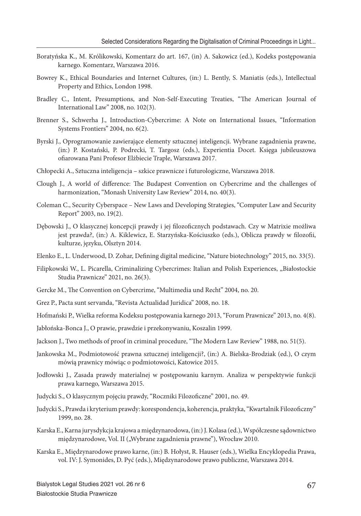- Boratyńska K., M. Królikowski, Komentarz do art. 167, (in) A. Sakowicz (ed.), Kodeks postępowania karnego. Komentarz, Warszawa 2016.
- Bowrey K., Ethical Boundaries and Internet Cultures, (in:) L. Bently, S. Maniatis (eds.), Intellectual Property and Ethics, London 1998.
- Bradley C., Intent, Presumptions, and Non-Self-Executing Treaties, "The American Journal of International Law" 2008, no. 102(3).
- Brenner S., Schwerha J., Introduction-Cybercrime: A Note on International Issues, "Information Systems Frontiers" 2004, no. 6(2).
- Byrski J., Oprogramowanie zawierające elementy sztucznej inteligencji. Wybrane zagadnienia prawne, (in:) P. Kostański, P. Podrecki, T. Targosz (eds.), Experientia Docet. Księga jubileuszowa ofiarowana Pani Profesor Elżbiecie Traple, Warszawa 2017.
- Chłopecki A., Sztuczna inteligencja szkice prawnicze i futurologiczne, Warszawa 2018.
- Clough J., A world of difference: The Budapest Convention on Cybercrime and the challenges of harmonization, "Monash University Law Review" 2014, no. 40(3).
- Coleman C., Security Cyberspace New Laws and Developing Strategies, "Computer Law and Security Report" 2003, no. 19(2).
- Dębowski J., O klasycznej koncepcji prawdy i jej filozoficznych podstawach. Czy w Matrixie możliwa jest prawda?, (in:) A. Kiklewicz, E. Starzyńska-Kościuszko (eds.), Oblicza prawdy w filozofii, kulturze, języku, Olsztyn 2014.
- Elenko E., L. Underwood, D. Zohar, Defining digital medicine, "Nature biotechnology" 2015, no. 33(5).
- Filipkowski W., L. Picarella, Criminalizing Cybercrimes: Italian and Polish Experiences, "Białostockie Studia Prawnicze" 2021, no. 26(3).
- Gercke M., The Convention on Cybercrime, "Multimedia und Recht" 2004, no. 20.
- Grez P., Pacta sunt servanda, "Revista Actualidad Juridica" 2008, no. 18.
- Hofmański P., Wielka reforma Kodeksu postępowania karnego 2013, "Forum Prawnicze" 2013, no. 4(8).
- Jabłońska-Bonca J., O prawie, prawdzie i przekonywaniu, Koszalin 1999.
- Jackson J., Two methods of proof in criminal procedure, "The Modern Law Review" 1988, no. 51(5).
- Jankowska M., Podmiotowość prawna sztucznej inteligencji?, (in:) A. Bielska-Brodziak (ed.), O czym mówią prawnicy mówiąc o podmiotowości, Katowice 2015.
- Jodłowski J., Zasada prawdy materialnej w postępowaniu karnym. Analiza w perspektywie funkcji prawa karnego, Warszawa 2015.
- Judycki S., O klasycznym pojęciu prawdy, "Roczniki Filozoficzne" 2001, no. 49.
- Judycki S., Prawda i kryterium prawdy: korespondencja, koherencja, praktyka, "Kwartalnik Filozoficzny" 1999, no. 28.
- Karska E., Karna jurysdykcja krajowa a międzynarodowa, (in:) J. Kolasa (ed.), Współczesne sądownictwo międzynarodowe, Vol. II ("Wybrane zagadnienia prawne"), Wrocław 2010.
- Karska E., Międzynarodowe prawo karne, (in:) B. Hołyst, R. Hauser (eds.), Wielka Encyklopedia Prawa, vol. IV: J. Symonides, D. Pyć (eds.), Międzynarodowe prawo publiczne, Warszawa 2014.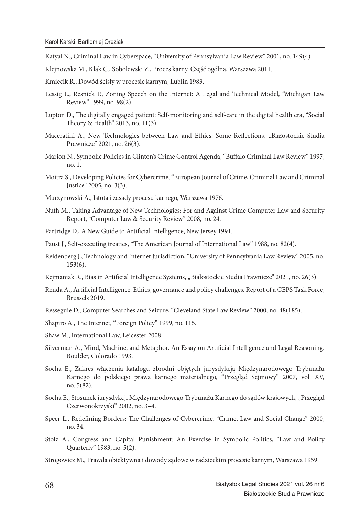- Katyal N., Criminal Law in Cyberspace, "University of Pennsylvania Law Review" 2001, no. 149(4).
- Klejnowska M., Kłak C., Sobolewski Z., Proces karny. Część ogólna, Warszawa 2011.
- Kmiecik R., Dowód ścisły w procesie karnym, Lublin 1983.
- Lessig L., Resnick P., Zoning Speech on the Internet: A Legal and Technical Model, "Michigan Law Review" 1999, no. 98(2).
- Lupton D., The digitally engaged patient: Self-monitoring and self-care in the digital health era, "Social Theory & Health" 2013, no. 11(3).
- Maceratini A., New Technologies between Law and Ethics: Some Reflections, "Białostockie Studia Prawnicze" 2021, no. 26(3).
- Marion N., Symbolic Policies in Clinton's Crime Control Agenda, "Buffalo Criminal Law Review" 1997, no. 1.
- Moitra S., Developing Policies for Cybercrime, "European Journal of Crime, Criminal Law and Criminal Justice" 2005, no. 3(3).
- Murzynowski A., Istota i zasady procesu karnego, Warszawa 1976.
- Nuth M., Taking Advantage of New Technologies: For and Against Crime Computer Law and Security Report, "Computer Law & Security Review" 2008, no. 24.
- Partridge D., A New Guide to Artificial Intelligence, New Jersey 1991.
- Paust J., Self-executing treaties, "The American Journal of International Law" 1988, no. 82(4).
- Reidenberg J., Technology and Internet Jurisdiction, "University of Pennsylvania Law Review" 2005, no. 153(6).
- Rejmaniak R., Bias in Artificial Intelligence Systems, "Białostockie Studia Prawnicze" 2021, no. 26(3).
- Renda A., Artificial Intelligence. Ethics, governance and policy challenges. Report of a CEPS Task Force, Brussels 2019.
- Resseguie D., Computer Searches and Seizure, "Cleveland State Law Review" 2000, no. 48(185).
- Shapiro A., The Internet, "Foreign Policy" 1999, no. 115.
- Shaw M., International Law, Leicester 2008.
- Silverman A., Mind, Machine, and Metaphor. An Essay on Artificial Intelligence and Legal Reasoning. Boulder, Colorado 1993.
- Socha E., Zakres włączenia katalogu zbrodni objętych jurysdykcją Międzynarodowego Trybunału Karnego do polskiego prawa karnego materialnego, "Przegląd Sejmowy" 2007, vol. XV, no. 5(82).
- Socha E., Stosunek jurysdykcji Międzynarodowego Trybunału Karnego do sądów krajowych, "Przegląd Czerwonokrzyski" 2002, no. 3–4.
- Speer L., Redefining Borders: The Challenges of Cybercrime, "Crime, Law and Social Change" 2000, no. 34.
- Stolz A., Congress and Capital Punishment: An Exercise in Symbolic Politics, "Law and Policy Quarterly" 1983, no. 5(2).
- Strogowicz M., Prawda obiektywna i dowody sądowe w radzieckim procesie karnym, Warszawa 1959.